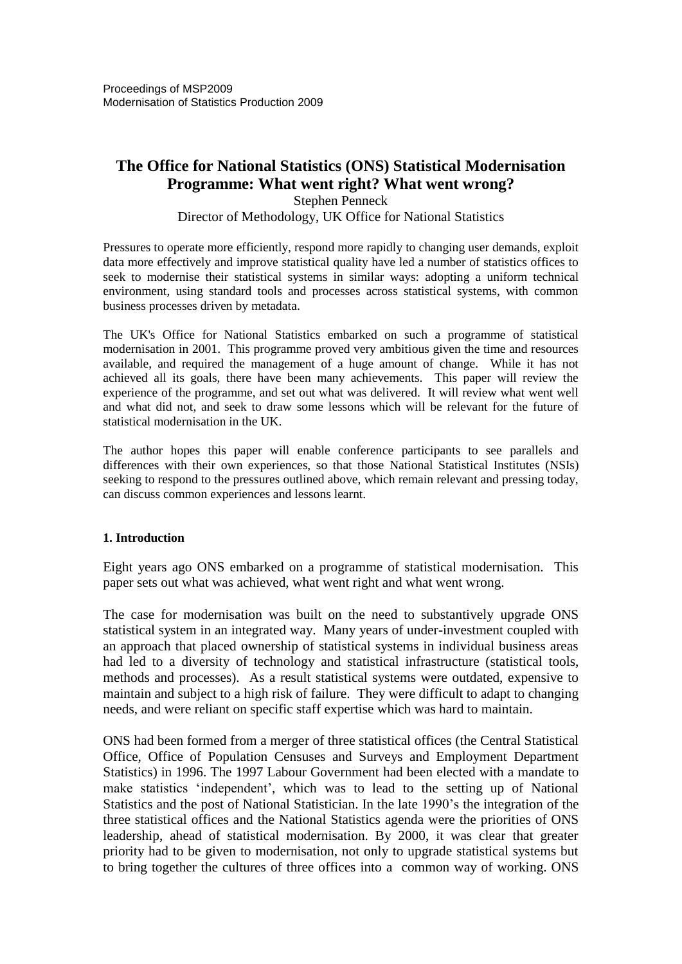# **The Office for National Statistics (ONS) Statistical Modernisation Programme: What went right? What went wrong?**

Stephen Penneck Director of Methodology, UK Office for National Statistics

Pressures to operate more efficiently, respond more rapidly to changing user demands, exploit data more effectively and improve statistical quality have led a number of statistics offices to seek to modernise their statistical systems in similar ways: adopting a uniform technical environment, using standard tools and processes across statistical systems, with common business processes driven by metadata.

The UK's Office for National Statistics embarked on such a programme of statistical modernisation in 2001. This programme proved very ambitious given the time and resources available, and required the management of a huge amount of change. While it has not achieved all its goals, there have been many achievements. This paper will review the experience of the programme, and set out what was delivered. It will review what went well and what did not, and seek to draw some lessons which will be relevant for the future of statistical modernisation in the UK.

The author hopes this paper will enable conference participants to see parallels and differences with their own experiences, so that those National Statistical Institutes (NSIs) seeking to respond to the pressures outlined above, which remain relevant and pressing today, can discuss common experiences and lessons learnt.

#### **1. Introduction**

Eight years ago ONS embarked on a programme of statistical modernisation. This paper sets out what was achieved, what went right and what went wrong.

The case for modernisation was built on the need to substantively upgrade ONS statistical system in an integrated way. Many years of under-investment coupled with an approach that placed ownership of statistical systems in individual business areas had led to a diversity of technology and statistical infrastructure (statistical tools, methods and processes). As a result statistical systems were outdated, expensive to maintain and subject to a high risk of failure. They were difficult to adapt to changing needs, and were reliant on specific staff expertise which was hard to maintain.

ONS had been formed from a merger of three statistical offices (the Central Statistical Office, Office of Population Censuses and Surveys and Employment Department Statistics) in 1996. The 1997 Labour Government had been elected with a mandate to make statistics 'independent', which was to lead to the setting up of National Statistics and the post of National Statistician. In the late 1990's the integration of the three statistical offices and the National Statistics agenda were the priorities of ONS leadership, ahead of statistical modernisation. By 2000, it was clear that greater priority had to be given to modernisation, not only to upgrade statistical systems but to bring together the cultures of three offices into a common way of working. ONS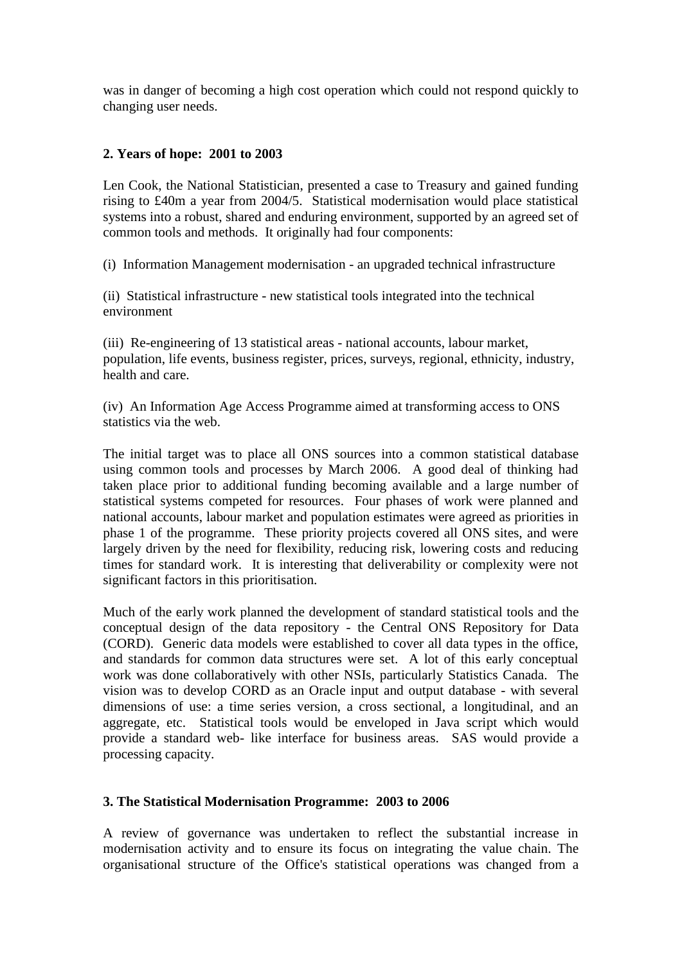was in danger of becoming a high cost operation which could not respond quickly to changing user needs.

## **2. Years of hope: 2001 to 2003**

Len Cook, the National Statistician, presented a case to Treasury and gained funding rising to £40m a year from 2004/5. Statistical modernisation would place statistical systems into a robust, shared and enduring environment, supported by an agreed set of common tools and methods. It originally had four components:

(i) Information Management modernisation - an upgraded technical infrastructure

(ii) Statistical infrastructure - new statistical tools integrated into the technical environment

(iii) Re-engineering of 13 statistical areas - national accounts, labour market, population, life events, business register, prices, surveys, regional, ethnicity, industry, health and care.

(iv) An Information Age Access Programme aimed at transforming access to ONS statistics via the web.

The initial target was to place all ONS sources into a common statistical database using common tools and processes by March 2006. A good deal of thinking had taken place prior to additional funding becoming available and a large number of statistical systems competed for resources. Four phases of work were planned and national accounts, labour market and population estimates were agreed as priorities in phase 1 of the programme. These priority projects covered all ONS sites, and were largely driven by the need for flexibility, reducing risk, lowering costs and reducing times for standard work. It is interesting that deliverability or complexity were not significant factors in this prioritisation.

Much of the early work planned the development of standard statistical tools and the conceptual design of the data repository - the Central ONS Repository for Data (CORD). Generic data models were established to cover all data types in the office, and standards for common data structures were set. A lot of this early conceptual work was done collaboratively with other NSIs, particularly Statistics Canada. The vision was to develop CORD as an Oracle input and output database - with several dimensions of use: a time series version, a cross sectional, a longitudinal, and an aggregate, etc. Statistical tools would be enveloped in Java script which would provide a standard web- like interface for business areas. SAS would provide a processing capacity.

#### **3. The Statistical Modernisation Programme: 2003 to 2006**

A review of governance was undertaken to reflect the substantial increase in modernisation activity and to ensure its focus on integrating the value chain. The organisational structure of the Office's statistical operations was changed from a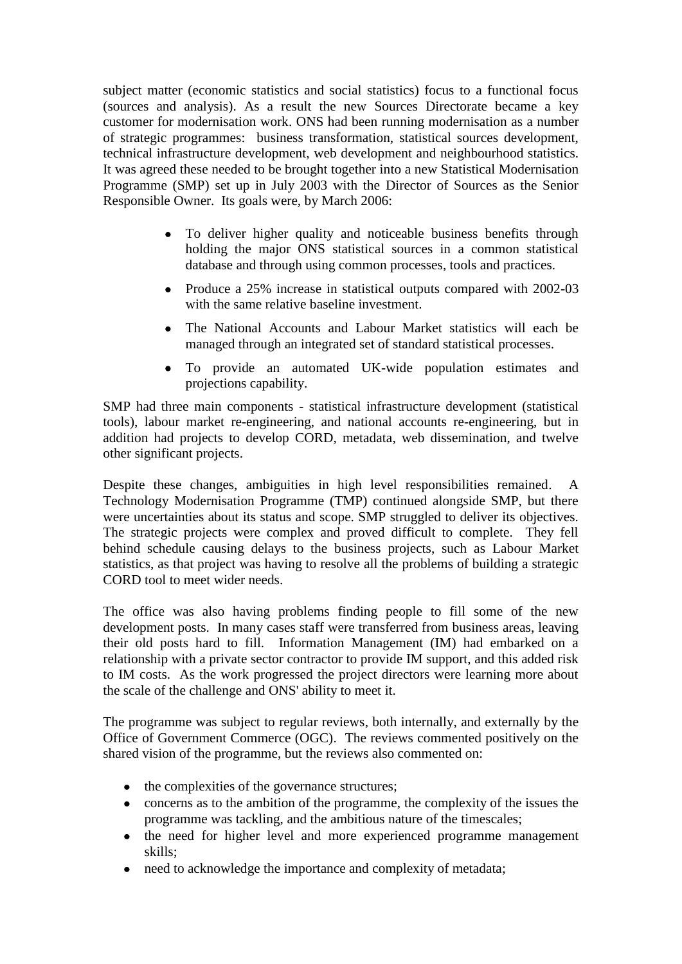subject matter (economic statistics and social statistics) focus to a functional focus (sources and analysis). As a result the new Sources Directorate became a key customer for modernisation work. ONS had been running modernisation as a number of strategic programmes: business transformation, statistical sources development, technical infrastructure development, web development and neighbourhood statistics. It was agreed these needed to be brought together into a new Statistical Modernisation Programme (SMP) set up in July 2003 with the Director of Sources as the Senior Responsible Owner. Its goals were, by March 2006:

- To deliver higher quality and noticeable business benefits through holding the major ONS statistical sources in a common statistical database and through using common processes, tools and practices.
- Produce a 25% increase in statistical outputs compared with 2002-03 with the same relative baseline investment.
- The National Accounts and Labour Market statistics will each be managed through an integrated set of standard statistical processes.
- To provide an automated UK-wide population estimates and projections capability.

SMP had three main components - statistical infrastructure development (statistical tools), labour market re-engineering, and national accounts re-engineering, but in addition had projects to develop CORD, metadata, web dissemination, and twelve other significant projects.

Despite these changes, ambiguities in high level responsibilities remained. A Technology Modernisation Programme (TMP) continued alongside SMP, but there were uncertainties about its status and scope. SMP struggled to deliver its objectives. The strategic projects were complex and proved difficult to complete. They fell behind schedule causing delays to the business projects, such as Labour Market statistics, as that project was having to resolve all the problems of building a strategic CORD tool to meet wider needs.

The office was also having problems finding people to fill some of the new development posts. In many cases staff were transferred from business areas, leaving their old posts hard to fill. Information Management (IM) had embarked on a relationship with a private sector contractor to provide IM support, and this added risk to IM costs. As the work progressed the project directors were learning more about the scale of the challenge and ONS' ability to meet it.

The programme was subject to regular reviews, both internally, and externally by the Office of Government Commerce (OGC). The reviews commented positively on the shared vision of the programme, but the reviews also commented on:

- the complexities of the governance structures;
- concerns as to the ambition of the programme, the complexity of the issues the  $\bullet$ programme was tackling, and the ambitious nature of the timescales;
- the need for higher level and more experienced programme management  $\bullet$ skills;
- need to acknowledge the importance and complexity of metadata; $\bullet$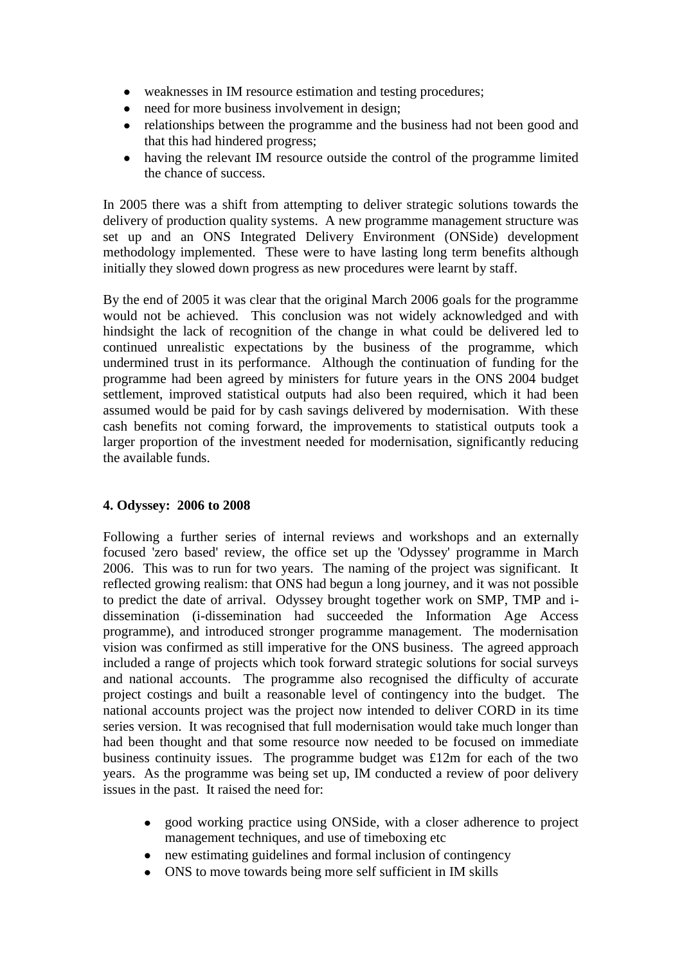- weaknesses in IM resource estimation and testing procedures;
- need for more business involvement in design;
- relationships between the programme and the business had not been good and  $\bullet$ that this had hindered progress;
- having the relevant IM resource outside the control of the programme limited  $\bullet$ the chance of success.

In 2005 there was a shift from attempting to deliver strategic solutions towards the delivery of production quality systems. A new programme management structure was set up and an ONS Integrated Delivery Environment (ONSide) development methodology implemented. These were to have lasting long term benefits although initially they slowed down progress as new procedures were learnt by staff.

By the end of 2005 it was clear that the original March 2006 goals for the programme would not be achieved. This conclusion was not widely acknowledged and with hindsight the lack of recognition of the change in what could be delivered led to continued unrealistic expectations by the business of the programme, which undermined trust in its performance. Although the continuation of funding for the programme had been agreed by ministers for future years in the ONS 2004 budget settlement, improved statistical outputs had also been required, which it had been assumed would be paid for by cash savings delivered by modernisation. With these cash benefits not coming forward, the improvements to statistical outputs took a larger proportion of the investment needed for modernisation, significantly reducing the available funds.

#### **4. Odyssey: 2006 to 2008**

Following a further series of internal reviews and workshops and an externally focused 'zero based' review, the office set up the 'Odyssey' programme in March 2006. This was to run for two years. The naming of the project was significant. It reflected growing realism: that ONS had begun a long journey, and it was not possible to predict the date of arrival. Odyssey brought together work on SMP, TMP and idissemination (i-dissemination had succeeded the Information Age Access programme), and introduced stronger programme management. The modernisation vision was confirmed as still imperative for the ONS business. The agreed approach included a range of projects which took forward strategic solutions for social surveys and national accounts. The programme also recognised the difficulty of accurate project costings and built a reasonable level of contingency into the budget. The national accounts project was the project now intended to deliver CORD in its time series version. It was recognised that full modernisation would take much longer than had been thought and that some resource now needed to be focused on immediate business continuity issues. The programme budget was £12m for each of the two years. As the programme was being set up, IM conducted a review of poor delivery issues in the past. It raised the need for:

- good working practice using ONSide, with a closer adherence to project management techniques, and use of timeboxing etc
- new estimating guidelines and formal inclusion of contingency
- ONS to move towards being more self sufficient in IM skills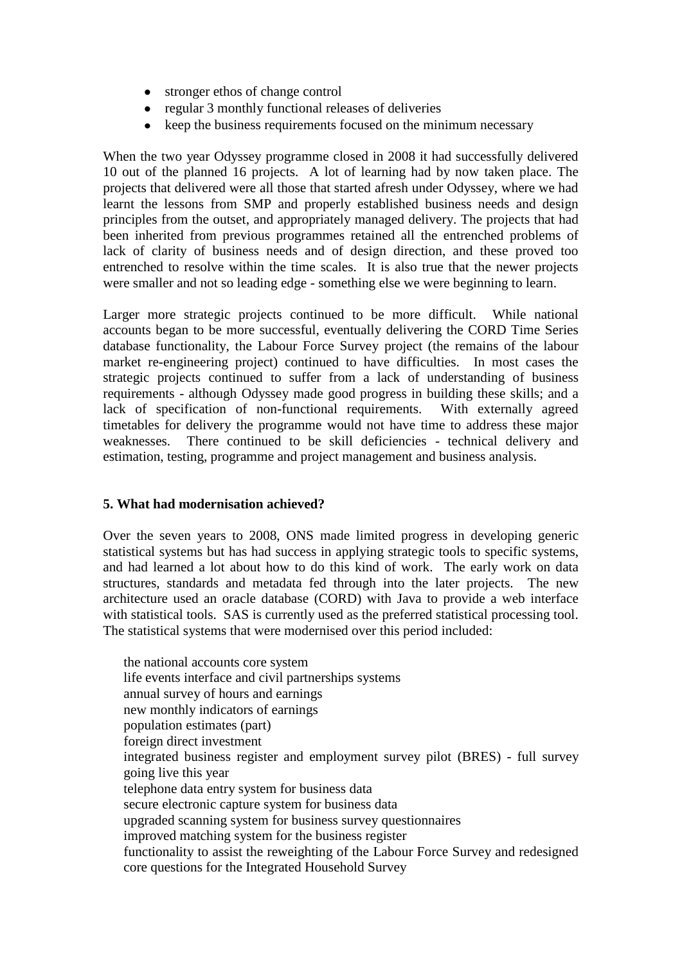- stronger ethos of change control
- regular 3 monthly functional releases of deliveries
- keep the business requirements focused on the minimum necessary

When the two year Odyssey programme closed in 2008 it had successfully delivered 10 out of the planned 16 projects. A lot of learning had by now taken place. The projects that delivered were all those that started afresh under Odyssey, where we had learnt the lessons from SMP and properly established business needs and design principles from the outset, and appropriately managed delivery. The projects that had been inherited from previous programmes retained all the entrenched problems of lack of clarity of business needs and of design direction, and these proved too entrenched to resolve within the time scales. It is also true that the newer projects were smaller and not so leading edge - something else we were beginning to learn.

Larger more strategic projects continued to be more difficult. While national accounts began to be more successful, eventually delivering the CORD Time Series database functionality, the Labour Force Survey project (the remains of the labour market re-engineering project) continued to have difficulties. In most cases the strategic projects continued to suffer from a lack of understanding of business requirements - although Odyssey made good progress in building these skills; and a lack of specification of non-functional requirements. With externally agreed timetables for delivery the programme would not have time to address these major weaknesses. There continued to be skill deficiencies - technical delivery and estimation, testing, programme and project management and business analysis.

# **5. What had modernisation achieved?**

Over the seven years to 2008, ONS made limited progress in developing generic statistical systems but has had success in applying strategic tools to specific systems, and had learned a lot about how to do this kind of work. The early work on data structures, standards and metadata fed through into the later projects. The new architecture used an oracle database (CORD) with Java to provide a web interface with statistical tools. SAS is currently used as the preferred statistical processing tool. The statistical systems that were modernised over this period included:

the national accounts core system life events interface and civil partnerships systems annual survey of hours and earnings new monthly indicators of earnings population estimates (part) foreign direct investment integrated business register and employment survey pilot (BRES) - full survey going live this year telephone data entry system for business data secure electronic capture system for business data upgraded scanning system for business survey questionnaires improved matching system for the business register functionality to assist the reweighting of the Labour Force Survey and redesigned core questions for the Integrated Household Survey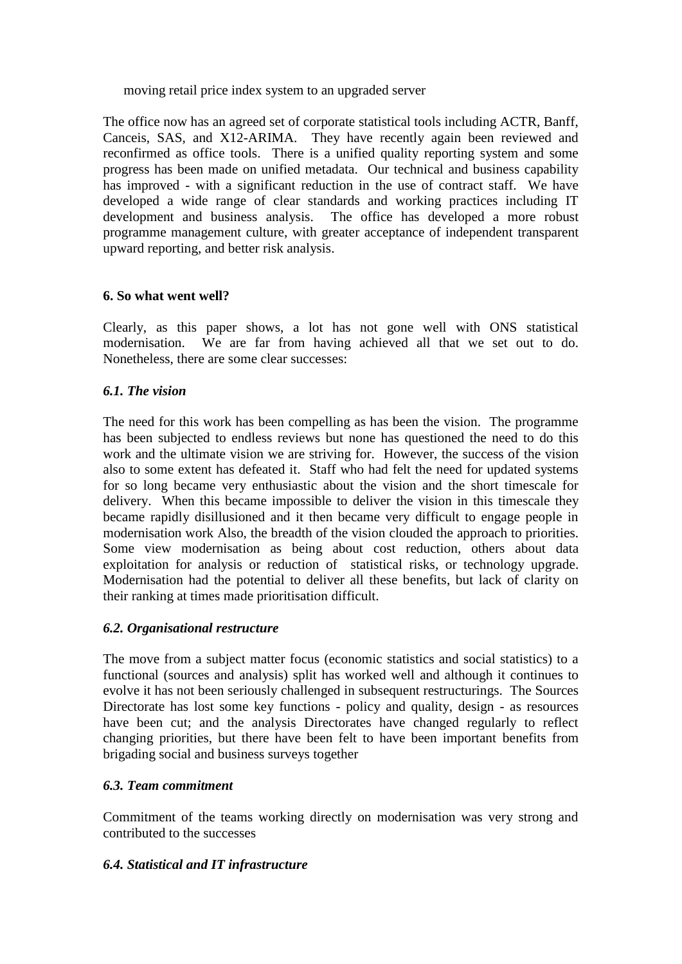moving retail price index system to an upgraded server

The office now has an agreed set of corporate statistical tools including ACTR, Banff, Canceis, SAS, and X12-ARIMA. They have recently again been reviewed and reconfirmed as office tools. There is a unified quality reporting system and some progress has been made on unified metadata. Our technical and business capability has improved - with a significant reduction in the use of contract staff. We have developed a wide range of clear standards and working practices including IT development and business analysis. The office has developed a more robust programme management culture, with greater acceptance of independent transparent upward reporting, and better risk analysis.

#### **6. So what went well?**

Clearly, as this paper shows, a lot has not gone well with ONS statistical modernisation. We are far from having achieved all that we set out to do. Nonetheless, there are some clear successes:

#### *6.1. The vision*

The need for this work has been compelling as has been the vision. The programme has been subjected to endless reviews but none has questioned the need to do this work and the ultimate vision we are striving for. However, the success of the vision also to some extent has defeated it. Staff who had felt the need for updated systems for so long became very enthusiastic about the vision and the short timescale for delivery. When this became impossible to deliver the vision in this timescale they became rapidly disillusioned and it then became very difficult to engage people in modernisation work Also, the breadth of the vision clouded the approach to priorities. Some view modernisation as being about cost reduction, others about data exploitation for analysis or reduction of statistical risks, or technology upgrade. Modernisation had the potential to deliver all these benefits, but lack of clarity on their ranking at times made prioritisation difficult.

# *6.2. Organisational restructure*

The move from a subject matter focus (economic statistics and social statistics) to a functional (sources and analysis) split has worked well and although it continues to evolve it has not been seriously challenged in subsequent restructurings. The Sources Directorate has lost some key functions - policy and quality, design - as resources have been cut; and the analysis Directorates have changed regularly to reflect changing priorities, but there have been felt to have been important benefits from brigading social and business surveys together

#### *6.3. Team commitment*

Commitment of the teams working directly on modernisation was very strong and contributed to the successes

# *6.4. Statistical and IT infrastructure*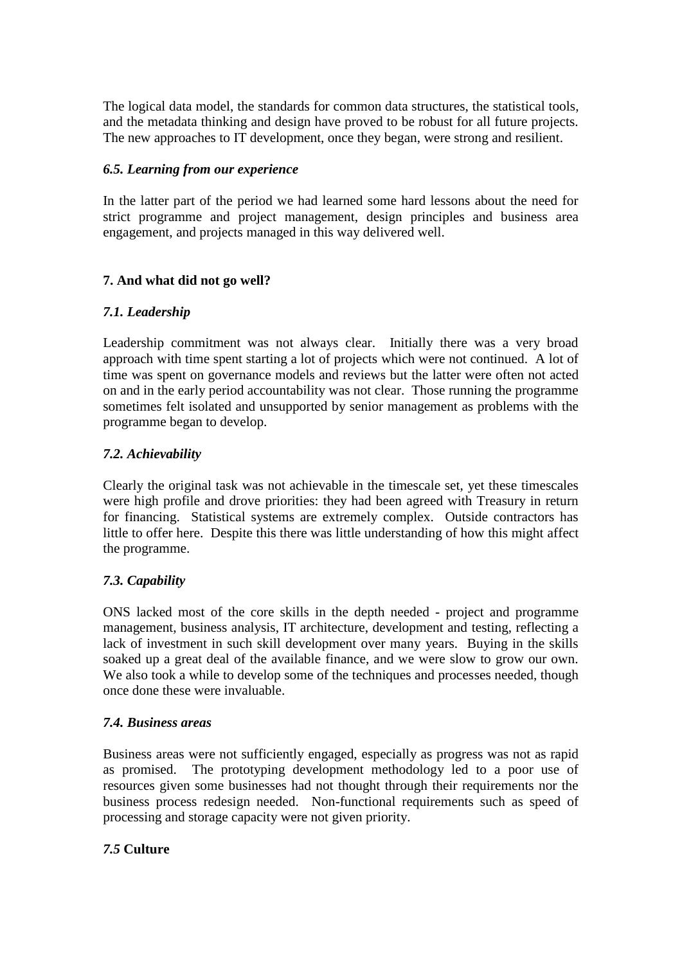The logical data model, the standards for common data structures, the statistical tools, and the metadata thinking and design have proved to be robust for all future projects. The new approaches to IT development, once they began, were strong and resilient.

## *6.5. Learning from our experience*

In the latter part of the period we had learned some hard lessons about the need for strict programme and project management, design principles and business area engagement, and projects managed in this way delivered well.

# **7. And what did not go well?**

# *7.1. Leadership*

Leadership commitment was not always clear. Initially there was a very broad approach with time spent starting a lot of projects which were not continued. A lot of time was spent on governance models and reviews but the latter were often not acted on and in the early period accountability was not clear. Those running the programme sometimes felt isolated and unsupported by senior management as problems with the programme began to develop.

# *7.2. Achievability*

Clearly the original task was not achievable in the timescale set, yet these timescales were high profile and drove priorities: they had been agreed with Treasury in return for financing. Statistical systems are extremely complex. Outside contractors has little to offer here. Despite this there was little understanding of how this might affect the programme.

# *7.3. Capability*

ONS lacked most of the core skills in the depth needed - project and programme management, business analysis, IT architecture, development and testing, reflecting a lack of investment in such skill development over many years. Buying in the skills soaked up a great deal of the available finance, and we were slow to grow our own. We also took a while to develop some of the techniques and processes needed, though once done these were invaluable.

#### *7.4. Business areas*

Business areas were not sufficiently engaged, especially as progress was not as rapid as promised. The prototyping development methodology led to a poor use of resources given some businesses had not thought through their requirements nor the business process redesign needed. Non-functional requirements such as speed of processing and storage capacity were not given priority.

# *7.5* **Culture**